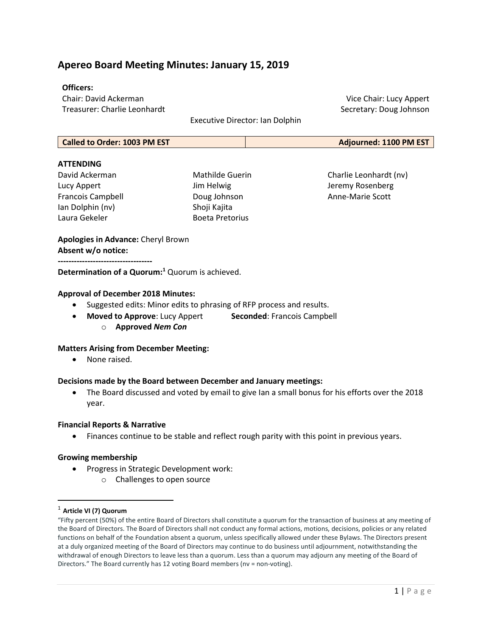## Apereo Board Meeting Minutes: January 15, 2019

#### Officers:

Chair: David Ackerman Treasurer: Charlie Leonhardt

Executive Director: Ian Dolphin

Called to Order: 1003 PM EST **Adjourned: 1100 PM EST** 

#### **ATTFNDING**

David Ackerman Lucy Appert Francois Campbell Ian Dolphin (nv) Laura Gekeler

Mathilde Guerin Jim Helwig Doug Johnson Shoji Kajita Boeta Pretorius

Charlie Leonhardt (nv) Jeremy Rosenberg Anne-Marie Scott

Vice Chair: Lucy Appert Secretary: Doug Johnson

## Apologies in Advance: Cheryl Brown Absent w/o notice:

-----------------------------------

Determination of a Quorum:<sup>1</sup> Quorum is achieved.

#### Approval of December 2018 Minutes:

- Suggested edits: Minor edits to phrasing of RFP process and results.
	- Moved to Approve: Lucy Appert Seconded: Francois Campbell
		- o Approved Nem Con

### Matters Arising from December Meeting:

• None raised.

#### Decisions made by the Board between December and January meetings:

• The Board discussed and voted by email to give Ian a small bonus for his efforts over the 2018 year.

#### Financial Reports & Narrative

Finances continue to be stable and reflect rough parity with this point in previous years.

### Growing membership

- Progress in Strategic Development work:
	- o Challenges to open source

 $1$  Article VI (7) Quorum

 $\overline{a}$ 

<sup>&</sup>quot;Fifty percent (50%) of the entire Board of Directors shall constitute a quorum for the transaction of business at any meeting of the Board of Directors. The Board of Directors shall not conduct any formal actions, motions, decisions, policies or any related functions on behalf of the Foundation absent a quorum, unless specifically allowed under these Bylaws. The Directors present at a duly organized meeting of the Board of Directors may continue to do business until adjournment, notwithstanding the withdrawal of enough Directors to leave less than a quorum. Less than a quorum may adjourn any meeting of the Board of Directors." The Board currently has 12 voting Board members (nv = non-voting).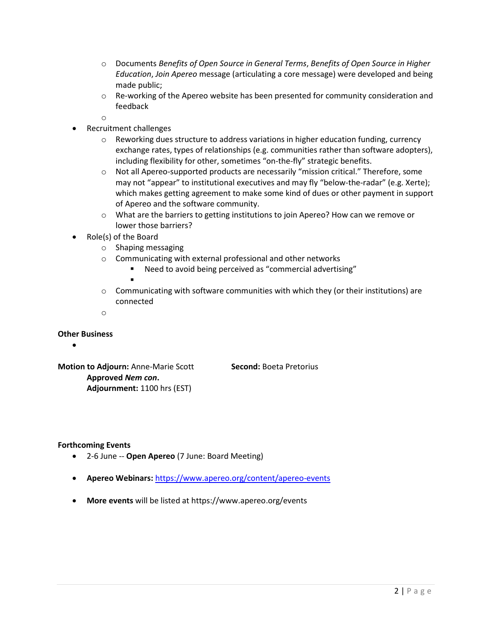- $\circ$  Documents Benefits of Open Source in General Terms, Benefits of Open Source in Higher Education, Join Apereo message (articulating a core message) were developed and being made public;
- o Re-working of the Apereo website has been presented for community consideration and feedback
- o
- Recruitment challenges
	- $\circ$  Reworking dues structure to address variations in higher education funding, currency exchange rates, types of relationships (e.g. communities rather than software adopters), including flexibility for other, sometimes "on-the-fly" strategic benefits.
	- o Not all Apereo-supported products are necessarily "mission critical." Therefore, some may not "appear" to institutional executives and may fly "below-the-radar" (e.g. Xerte); which makes getting agreement to make some kind of dues or other payment in support of Apereo and the software community.
	- o What are the barriers to getting institutions to join Apereo? How can we remove or lower those barriers?
- Role(s) of the Board
	- o Shaping messaging
	- o Communicating with external professional and other networks
		- Need to avoid being perceived as "commercial advertising"
		-

٠

- $\circ$  Communicating with software communities with which they (or their institutions) are connected
- o

## Other Business

 $\bullet$ 

Motion to Adjourn: Anne-Marie Scott Second: Boeta Pretorius Approved Nem con. Adjournment: 1100 hrs (EST)

### Forthcoming Events

- 2-6 June -- Open Apereo (7 June: Board Meeting)
- Apereo Webinars: https://www.apereo.org/content/apereo-events
- More events will be listed at https://www.apereo.org/events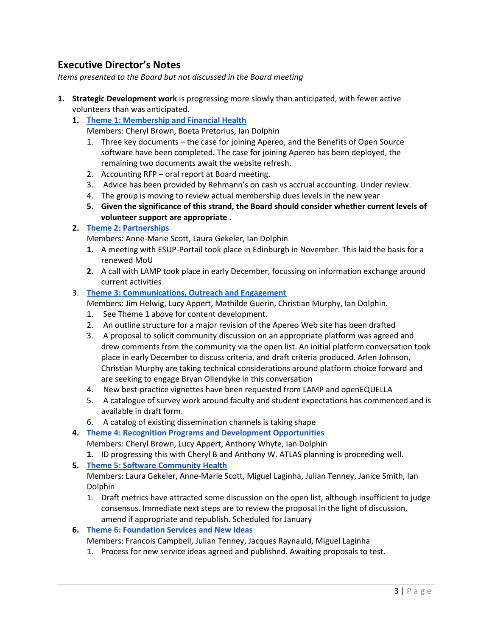# Executive Director's Notes

Items presented to the Board but not discussed in the Board meeting

- 1. Strategic Development work is progressing more slowly than anticipated, with fewer active volunteers than was anticipated.
	- 1. Theme 1: Membership and Financial Health
		- Members: Cheryl Brown, Boeta Pretorius, Ian Dolphin
		- 1. Three key documents the case for joining Apereo, and the Benefits of Open Source software have been completed. The case for joining Apereo has been deployed, the remaining two documents await the website refresh.
		- 2. Accounting RFP oral report at Board meeting.
		- 3. Advice has been provided by Rehmann's on cash vs accrual accounting. Under review.
		- 4. The group is moving to review actual membership dues levels in the new year
		- 5. Given the significance of this strand, the Board should consider whether current levels of volunteer support are appropriate .

## 2. Theme 2: Partnerships

Members: Anne-Marie Scott, Laura Gekeler, Ian Dolphin

- 1. A meeting with ESUP-Portail took place in Edinburgh in November. This laid the basis for a renewed MoU
- 2. A call with LAMP took place in early December, focussing on information exchange around current activities
- 3. Theme 3: Communications, Outreach and Engagement
	- Members: Jim Helwig, Lucy Appert, Mathilde Guerin, Christian Murphy, Ian Dolphin.
	- 1. See Theme 1 above for content development.
	- 2. An outline structure for a major revision of the Apereo Web site has been drafted
	- 3. A proposal to solicit community discussion on an appropriate platform was agreed and drew comments from the community via the open list. An initial platform conversation took place in early December to discuss criteria, and draft criteria produced. Arlen Johnson, Christian Murphy are taking technical considerations around platform choice forward and are seeking to engage Bryan Ollendyke in this conversation
	- 4. New best-practice vignettes have been requested from LAMP and openEQUELLA
	- 5. A catalogue of survey work around faculty and student expectations has commenced and is available in draft form.
	- 6. A catalog of existing dissemination channels is taking shape
- 4. Theme 4: Recognition Programs and Development Opportunities

Members: Cheryl Brown, Lucy Appert, Anthony Whyte, Ian Dolphin

- 1. ID progressing this with Cheryl B and Anthony W. ATLAS planning is proceeding well.
- 5. Theme 5: Software Community Health

Members: Laura Gekeler, Anne-Marie Scott, Miguel Laginha, Julian Tenney, Janice Smith, Ian Dolphin

- 1. Draft metrics have attracted some discussion on the open list, although insufficient to judge consensus. Immediate next steps are to review the proposal in the light of discussion, amend if appropriate and republish. Scheduled for January
- 6. Theme 6: Foundation Services and New Ideas
	- Members: Francois Campbell, Julian Tenney, Jacques Raynauld, Miguel Laginha
	- 1. Process for new service ideas agreed and published. Awaiting proposals to test.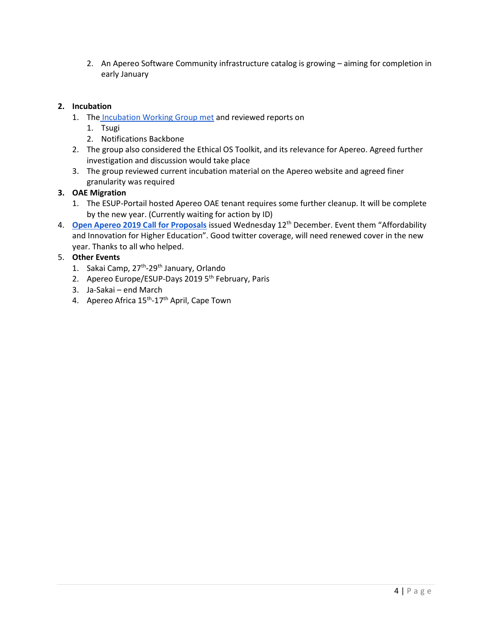2. An Apereo Software Community infrastructure catalog is growing – aiming for completion in early January

## 2. Incubation

- 1. The Incubation Working Group met and reviewed reports on
	- 1. Tsugi
	- 2. Notifications Backbone
- 2. The group also considered the Ethical OS Toolkit, and its relevance for Apereo. Agreed further investigation and discussion would take place
- 3. The group reviewed current incubation material on the Apereo website and agreed finer granularity was required

## 3. OAE Migration

- 1. The ESUP-Portail hosted Apereo OAE tenant requires some further cleanup. It will be complete by the new year. (Currently waiting for action by ID)
- 4. Open Apereo 2019 Call for Proposals issued Wednesday 12<sup>th</sup> December. Event them "Affordability and Innovation for Higher Education". Good twitter coverage, will need renewed cover in the new year. Thanks to all who helped.

## 5. Other Events

- 1. Sakai Camp, 27<sup>th</sup>-29<sup>th</sup> January, Orlando
- 2. Apereo Europe/ESUP-Days 2019 5<sup>th</sup> February, Paris
- 3. Ja-Sakai end March
- 4. Apereo Africa 15<sup>th</sup>-17<sup>th</sup> April, Cape Town